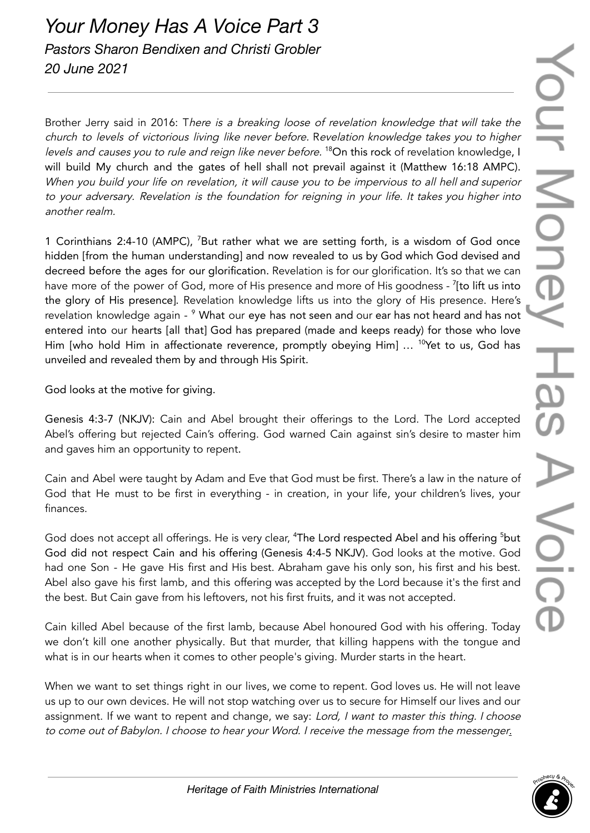Brother Jerry said in 2016: There is a breaking loose of revelation knowledge that will take the church to levels of victorious living like never before. Revelation knowledge takes you to higher levels and causes you to rule and reign like never before. <sup>18</sup>On this rock of revelation knowledge, I will build My church and the gates of hell shall not prevail against it (Matthew 16:18 AMPC). When you build your life on revelation, it will cause you to be impervious to all hell and superior to your adversary. Revelation is the foundation for reigning in your life. It takes you higher into another realm.

1 Corinthians 2:4-10 (AMPC), <sup>7</sup>But rather what we are setting forth, is a wisdom of God once hidden [from the human understanding] and now revealed to us by God which God devised and decreed before the ages for our glorification. Revelation is for our glorification. It's so that we can have more of the power of God, more of His presence and more of His goodness - <sup>7</sup>[to lift us into the glory of His presence]. Revelation knowledge lifts us into the glory of His presence. Here's revelation knowledge again - <sup>9</sup> What our eye has not seen and our ear has not heard and has not entered into our hearts [all that] God has prepared (made and keeps ready) for those who love Him [who hold Him in affectionate reverence, promptly obeying Him] ... <sup>10</sup>Yet to us, God has unveiled and revealed them by and through His Spirit.

God looks at the motive for giving.

Genesis 4:3-7 (NKJV): Cain and Abel brought their offerings to the Lord. The Lord accepted Abel's offering but rejected Cain's offering. God warned Cain against sin's desire to master him and gaves him an opportunity to repent.

Cain and Abel were taught by Adam and Eve that God must be first. There's a law in the nature of God that He must to be first in everything - in creation, in your life, your children's lives, your finances.

God does not accept all offerings. He is very clear, <sup>4</sup>The Lord respected Abel and his offering <sup>5</sup>but God did not respect Cain and his offering (Genesis 4:4-5 NKJV). God looks at the motive. God had one Son - He gave His first and His best. Abraham gave his only son, his first and his best. Abel also gave his first lamb, and this offering was accepted by the Lord because it's the first and the best. But Cain gave from his leftovers, not his first fruits, and it was not accepted.

Cain killed Abel because of the first lamb, because Abel honoured God with his offering. Today we don't kill one another physically. But that murder, that killing happens with the tongue and what is in our hearts when it comes to other people's giving. Murder starts in the heart.

When we want to set things right in our lives, we come to repent. God loves us. He will not leave us up to our own devices. He will not stop watching over us to secure for Himself our lives and our assignment. If we want to repent and change, we say: Lord, I want to master this thing. I choose to come out of Babylon. I choose to hear your Word. I receive the message from the messenger.

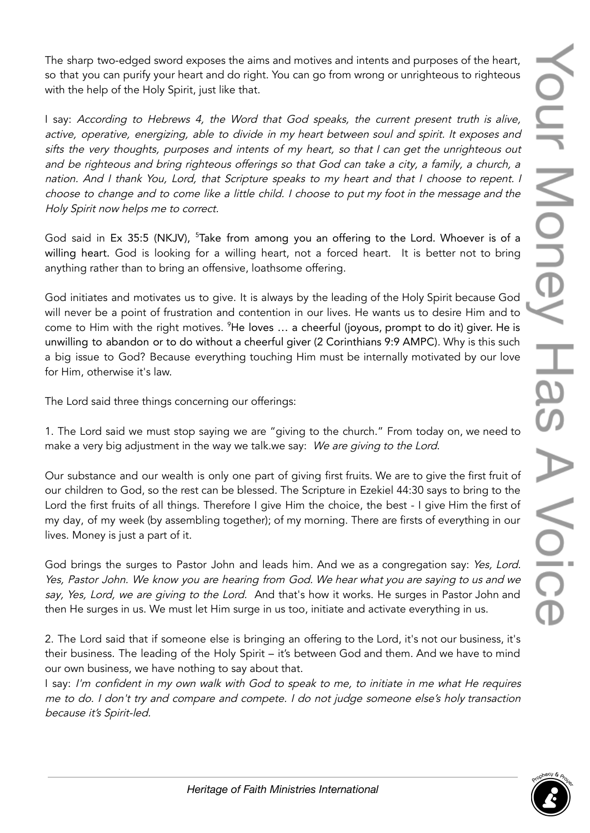The sharp two-edged sword exposes the aims and motives and intents and purposes of the heart, so that you can purify your heart and do right. You can go from wrong or unrighteous to righteous with the help of the Holy Spirit, just like that.

I say: According to Hebrews 4, the Word that God speaks, the current present truth is alive, active, operative, energizing, able to divide in my heart between soul and spirit. It exposes and sifts the very thoughts, purposes and intents of my heart, so that <sup>I</sup> can get the unrighteous out and be righteous and bring righteous offerings so that God can take <sup>a</sup> city, <sup>a</sup> family, <sup>a</sup> church, <sup>a</sup> nation. And <sup>I</sup> thank You, Lord, that Scripture speaks to my heart and that <sup>I</sup> choose to repent. <sup>I</sup> choose to change and to come like <sup>a</sup> little child. <sup>I</sup> choose to put my foot in the message and the Holy Spirit now helps me to correct.

God said in Ex 35:5 (NKJV), <sup>5</sup>Take from among you an offering to the Lord. Whoever is of a willing heart. God is looking for a willing heart, not a forced heart. It is better not to bring anything rather than to bring an offensive, loathsome offering.

God initiates and motivates us to give. It is always by the leading of the Holy Spirit because God will never be a point of frustration and contention in our lives. He wants us to desire Him and to come to Him with the right motives. <sup>9</sup>He loves … a cheerful (joyous, prompt to do it) giver. He is unwilling to abandon or to do without a cheerful giver (2 Corinthians 9:9 AMPC). Why is this such a big issue to God? Because everything touching Him must be internally motivated by our love for Him, otherwise it's law.

The Lord said three things concerning our offerings:

1. The Lord said we must stop saying we are "giving to the church." From today on, we need to make a very big adjustment in the way we talk.we say: We are giving to the Lord.

Our substance and our wealth is only one part of giving first fruits. We are to give the first fruit of our children to God, so the rest can be blessed. The Scripture in Ezekiel 44:30 says to bring to the Lord the first fruits of all things. Therefore I give Him the choice, the best - I give Him the first of my day, of my week (by assembling together); of my morning. There are firsts of everything in our lives. Money is just a part of it.

God brings the surges to Pastor John and leads him. And we as a congregation say: Yes, Lord. Yes, Pastor John. We know you are hearing from God. We hear what you are saying to us and we say, Yes, Lord, we are giving to the Lord. And that's how it works. He surges in Pastor John and then He surges in us. We must let Him surge in us too, initiate and activate everything in us.

2. The Lord said that if someone else is bringing an offering to the Lord, it's not our business, it's their business. The leading of the Holy Spirit – it's between God and them. And we have to mind our own business, we have nothing to say about that.

I say: I'm confident in my own walk with God to speak to me, to initiate in me what He requires me to do. <sup>I</sup> don't try and compare and compete. <sup>I</sup> do not judge someone else's holy transaction because it's Spirit-led.